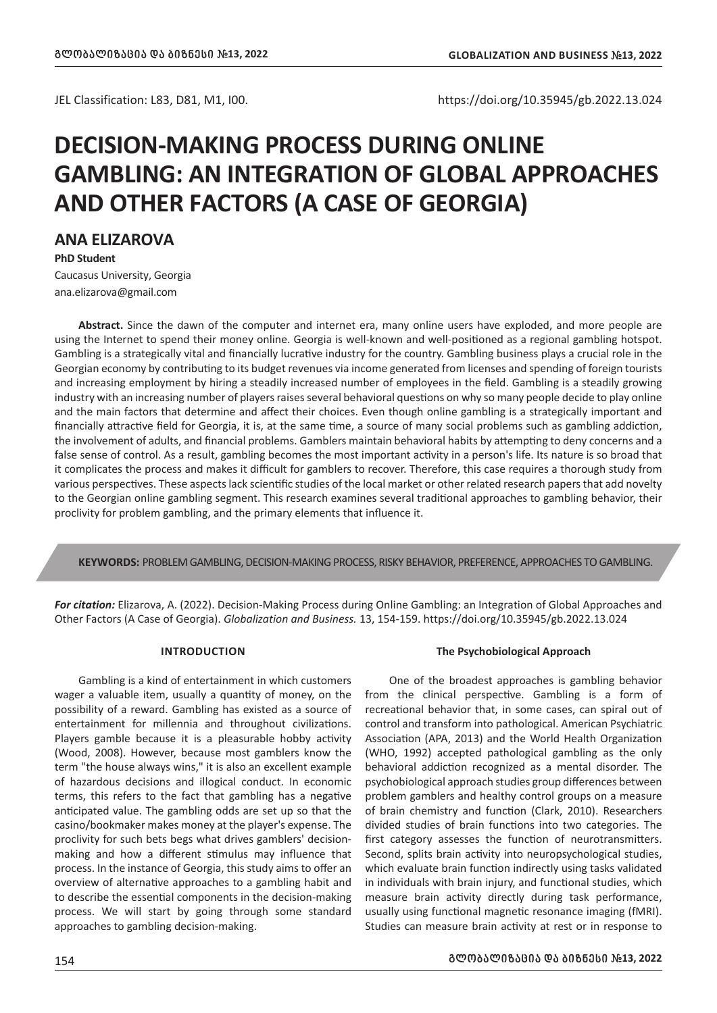# **DECISION-MAKING PROCESS DURING ONLINE GAMBLING: AN INTEGRATION OF GLOBAL APPROACHES AND OTHER FACTORS (A CASE OF GEORGIA)**

**ANA ELIZAROVA**

**PhD Student**

Caucasus University, Georgia ana.elizarova@gmail.com

**Abstract.** Since the dawn of the computer and internet era, many online users have exploded, and more people are using the Internet to spend their money online. Georgia is well-known and well-positioned as a regional gambling hotspot. Gambling is a strategically vital and financially lucrative industry for the country. Gambling business plays a crucial role in the Georgian economy by contributing to its budget revenues via income generated from licenses and spending of foreign tourists and increasing employment by hiring a steadily increased number of employees in the field. Gambling is a steadily growing industry with an increasing number of players raises several behavioral questions on why so many people decide to play online and the main factors that determine and affect their choices. Even though online gambling is a strategically important and financially attractive field for Georgia, it is, at the same time, a source of many social problems such as gambling addiction, the involvement of adults, and financial problems. Gamblers maintain behavioral habits by attempting to deny concerns and a false sense of control. As a result, gambling becomes the most important activity in a person's life. Its nature is so broad that it complicates the process and makes it difficult for gamblers to recover. Therefore, this case requires a thorough study from various perspectives. These aspects lack scientific studies of the local market or other related research papers that add novelty to the Georgian online gambling segment. This research examines several traditional approaches to gambling behavior, their proclivity for problem gambling, and the primary elements that influence it.

**KEYWORDS:** PROBLEM GAMBLING, DECISION-MAKING PROCESS, RISKY BEHAVIOR, PREFERENCE, APPROACHES TO GAMBLING.

*For citation:* Elizarova, A. (2022). Decision-Making Process during Online Gambling: an Integration of Global Approaches and Other Factors (A Case of Georgia). *Globalization and Business.* 13, 154-159. https://doi.org/10.35945/gb.2022.13.024

# **INTRODUCTION**

Gambling is a kind of entertainment in which customers wager a valuable item, usually a quantity of money, on the possibility of a reward. Gambling has existed as a source of entertainment for millennia and throughout civilizations. Players gamble because it is a pleasurable hobby activity (Wood, 2008). However, because most gamblers know the term "the house always wins," it is also an excellent example of hazardous decisions and illogical conduct. In economic terms, this refers to the fact that gambling has a negative anticipated value. The gambling odds are set up so that the casino/bookmaker makes money at the player's expense. The proclivity for such bets begs what drives gamblers' decisionmaking and how a different stimulus may influence that process. In the instance of Georgia, this study aims to offer an overview of alternative approaches to a gambling habit and to describe the essential components in the decision-making process. We will start by going through some standard approaches to gambling decision-making.

# **The Psychobiological Approach**

One of the broadest approaches is gambling behavior from the clinical perspective. Gambling is a form of recreational behavior that, in some cases, can spiral out of control and transform into pathological. American Psychiatric Association (APA, 2013) and the World Health Organization (WHO, 1992) accepted pathological gambling as the only behavioral addiction recognized as a mental disorder. The psychobiological approach studies group differences between problem gamblers and healthy control groups on a measure of brain chemistry and function (Clark, 2010). Researchers divided studies of brain functions into two categories. The first category assesses the function of neurotransmitters. Second, splits brain activity into neuropsychological studies, which evaluate brain function indirectly using tasks validated in individuals with brain injury, and functional studies, which measure brain activity directly during task performance, usually using functional magnetic resonance imaging (fMRI). Studies can measure brain activity at rest or in response to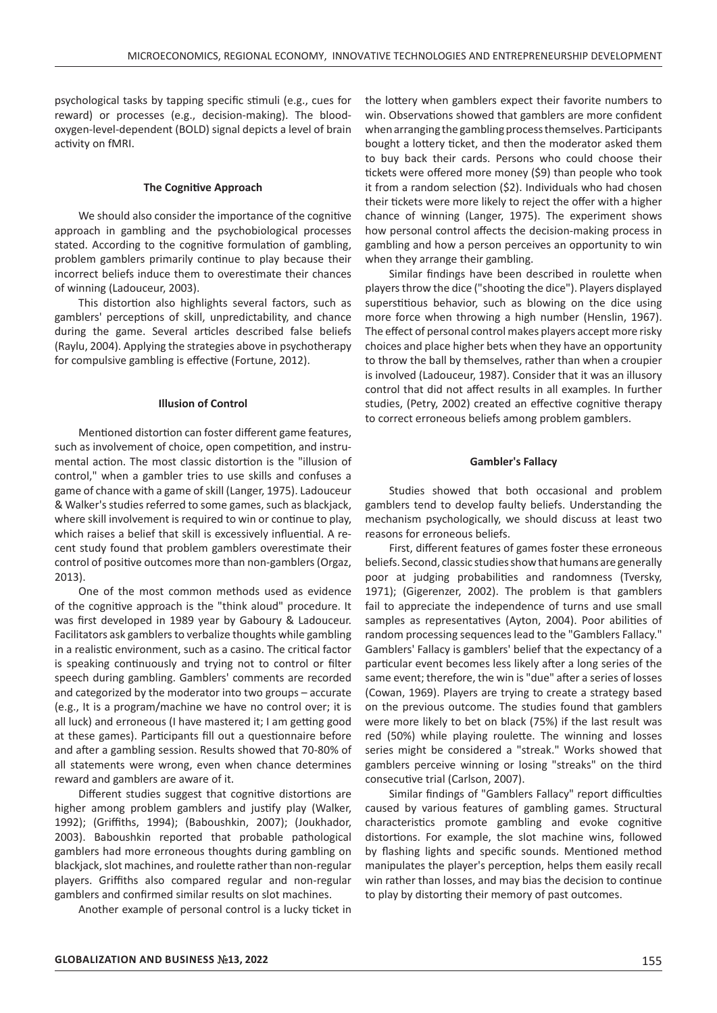psychological tasks by tapping specific stimuli (e.g., cues for reward) or processes (e.g., decision-making). The bloodoxygen-level-dependent (BOLD) signal depicts a level of brain activity on fMRI.

## **The Cognitive Approach**

We should also consider the importance of the cognitive approach in gambling and the psychobiological processes stated. According to the cognitive formulation of gambling, problem gamblers primarily continue to play because their incorrect beliefs induce them to overestimate their chances of winning (Ladouceur, 2003).

This distortion also highlights several factors, such as gamblers' perceptions of skill, unpredictability, and chance during the game. Several articles described false beliefs (Raylu, 2004). Applying the strategies above in psychotherapy for compulsive gambling is effective (Fortune, 2012).

#### **Illusion of Control**

Mentioned distortion can foster different game features, such as involvement of choice, open competition, and instrumental action. The most classic distortion is the "illusion of control," when a gambler tries to use skills and confuses a game of chance with a game of skill (Langer, 1975). Ladouceur & Walker's studies referred to some games, such as blackjack, where skill involvement is required to win or continue to play, which raises a belief that skill is excessively influential. A recent study found that problem gamblers overestimate their control of positive outcomes more than non-gamblers (Orgaz, 2013).

One of the most common methods used as evidence of the cognitive approach is the "think aloud" procedure. It was first developed in 1989 year by Gaboury & Ladouceur. Facilitators ask gamblers to verbalize thoughts while gambling in a realistic environment, such as a casino. The critical factor is speaking continuously and trying not to control or filter speech during gambling. Gamblers' comments are recorded and categorized by the moderator into two groups – accurate (e.g., It is a program/machine we have no control over; it is all luck) and erroneous (I have mastered it; I am getting good at these games). Participants fill out a questionnaire before and after a gambling session. Results showed that 70-80% of all statements were wrong, even when chance determines reward and gamblers are aware of it.

Different studies suggest that cognitive distortions are higher among problem gamblers and justify play (Walker, 1992); (Griffiths, 1994); (Baboushkin, 2007); (Joukhador, 2003). Baboushkin reported that probable pathological gamblers had more erroneous thoughts during gambling on blackjack, slot machines, and roulette rather than non-regular players. Griffiths also compared regular and non-regular gamblers and confirmed similar results on slot machines.

Another example of personal control is a lucky ticket in

the lottery when gamblers expect their favorite numbers to win. Observations showed that gamblers are more confident when arranging the gambling process themselves. Participants bought a lottery ticket, and then the moderator asked them to buy back their cards. Persons who could choose their tickets were offered more money (\$9) than people who took it from a random selection (\$2). Individuals who had chosen their tickets were more likely to reject the offer with a higher chance of winning (Langer, 1975). The experiment shows how personal control affects the decision-making process in gambling and how a person perceives an opportunity to win when they arrange their gambling.

Similar findings have been described in roulette when players throw the dice ("shooting the dice"). Players displayed superstitious behavior, such as blowing on the dice using more force when throwing a high number (Henslin, 1967). The effect of personal control makes players accept more risky choices and place higher bets when they have an opportunity to throw the ball by themselves, rather than when a croupier is involved (Ladouceur, 1987). Consider that it was an illusory control that did not affect results in all examples. In further studies, (Petry, 2002) created an effective cognitive therapy to correct erroneous beliefs among problem gamblers.

## **Gambler's Fallacy**

Studies showed that both occasional and problem gamblers tend to develop faulty beliefs. Understanding the mechanism psychologically, we should discuss at least two reasons for erroneous beliefs.

First, different features of games foster these erroneous beliefs. Second, classic studies show that humans are generally poor at judging probabilities and randomness (Tversky, 1971); (Gigerenzer, 2002). The problem is that gamblers fail to appreciate the independence of turns and use small samples as representatives (Ayton, 2004). Poor abilities of random processing sequences lead to the "Gamblers Fallacy." Gamblers' Fallacy is gamblers' belief that the expectancy of a particular event becomes less likely after a long series of the same event; therefore, the win is "due" after a series of losses (Cowan, 1969). Players are trying to create a strategy based on the previous outcome. The studies found that gamblers were more likely to bet on black (75%) if the last result was red (50%) while playing roulette. The winning and losses series might be considered a "streak." Works showed that gamblers perceive winning or losing "streaks" on the third consecutive trial (Carlson, 2007).

Similar findings of "Gamblers Fallacy" report difficulties caused by various features of gambling games. Structural characteristics promote gambling and evoke cognitive distortions. For example, the slot machine wins, followed by flashing lights and specific sounds. Mentioned method manipulates the player's perception, helps them easily recall win rather than losses, and may bias the decision to continue to play by distorting their memory of past outcomes.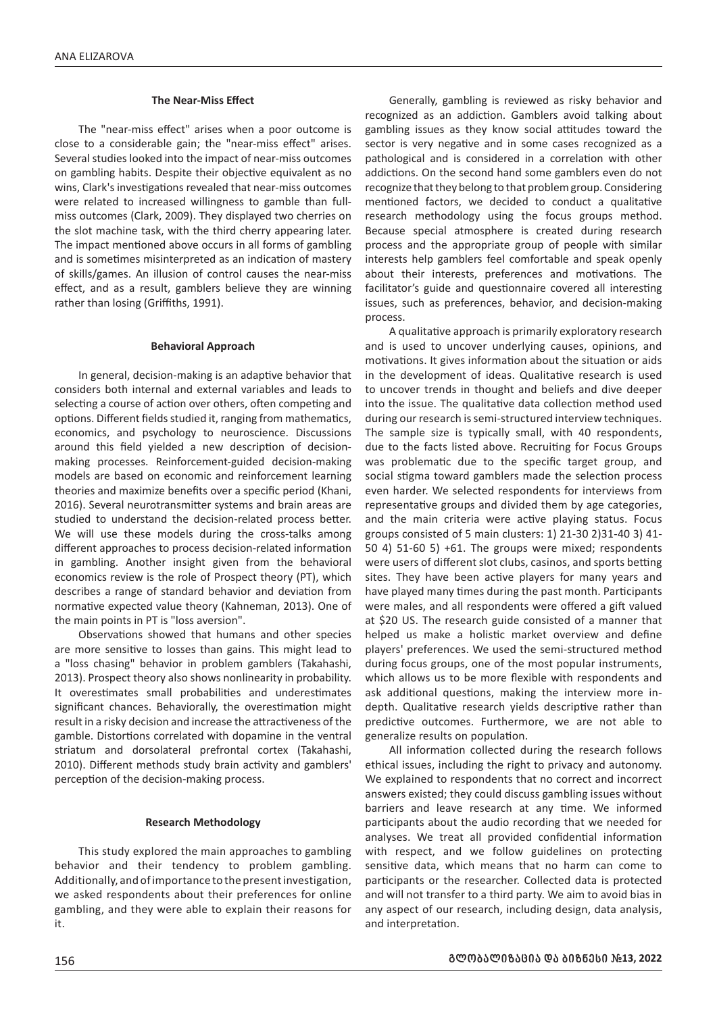# **The Near-Miss Effect**

The "near-miss effect" arises when a poor outcome is close to a considerable gain; the "near-miss effect" arises. Several studies looked into the impact of near-miss outcomes on gambling habits. Despite their objective equivalent as no wins, Clark's investigations revealed that near-miss outcomes were related to increased willingness to gamble than fullmiss outcomes (Clark, 2009). They displayed two cherries on the slot machine task, with the third cherry appearing later. The impact mentioned above occurs in all forms of gambling and is sometimes misinterpreted as an indication of mastery of skills/games. An illusion of control causes the near-miss effect, and as a result, gamblers believe they are winning rather than losing (Griffiths, 1991).

#### **Behavioral Approach**

In general, decision-making is an adaptive behavior that considers both internal and external variables and leads to selecting a course of action over others, often competing and options. Different fields studied it, ranging from mathematics, economics, and psychology to neuroscience. Discussions around this field yielded a new description of decisionmaking processes. Reinforcement-guided decision-making models are based on economic and reinforcement learning theories and maximize benefits over a specific period (Khani, 2016). Several neurotransmitter systems and brain areas are studied to understand the decision-related process better. We will use these models during the cross-talks among different approaches to process decision-related information in gambling. Another insight given from the behavioral economics review is the role of Prospect theory (PT), which describes a range of standard behavior and deviation from normative expected value theory (Kahneman, 2013). One of the main points in PT is "loss aversion".

Observations showed that humans and other species are more sensitive to losses than gains. This might lead to a "loss chasing" behavior in problem gamblers (Takahashi, 2013). Prospect theory also shows nonlinearity in probability. It overestimates small probabilities and underestimates significant chances. Behaviorally, the overestimation might result in a risky decision and increase the attractiveness of the gamble. Distortions correlated with dopamine in the ventral striatum and dorsolateral prefrontal cortex (Takahashi, 2010). Different methods study brain activity and gamblers' perception of the decision-making process.

#### **Research Methodology**

This study explored the main approaches to gambling behavior and their tendency to problem gambling. Additionally, and of importance to the present investigation, we asked respondents about their preferences for online gambling, and they were able to explain their reasons for it.

Generally, gambling is reviewed as risky behavior and recognized as an addiction. Gamblers avoid talking about gambling issues as they know social attitudes toward the sector is very negative and in some cases recognized as a pathological and is considered in a correlation with other addictions. On the second hand some gamblers even do not recognize that they belong to that problem group. Considering mentioned factors, we decided to conduct a qualitative research methodology using the focus groups method. Because special atmosphere is created during research process and the appropriate group of people with similar interests help gamblers feel comfortable and speak openly about their interests, preferences and motivations. The facilitator's guide and questionnaire covered all interesting issues, such as preferences, behavior, and decision-making process.

A qualitative approach is primarily exploratory research and is used to uncover underlying causes, opinions, and motivations. It gives information about the situation or aids in the development of ideas. Qualitative research is used to uncover trends in thought and beliefs and dive deeper into the issue. The qualitative data collection method used during our research is semi-structured interview techniques. The sample size is typically small, with 40 respondents, due to the facts listed above. Recruiting for Focus Groups was problematic due to the specific target group, and social stigma toward gamblers made the selection process even harder. We selected respondents for interviews from representative groups and divided them by age categories, and the main criteria were active playing status. Focus groups consisted of 5 main clusters: 1) 21-30 2)31-40 3) 41- 50 4) 51-60 5) +61. The groups were mixed; respondents were users of different slot clubs, casinos, and sports betting sites. They have been active players for many years and have played many times during the past month. Participants were males, and all respondents were offered a gift valued at \$20 US. The research guide consisted of a manner that helped us make a holistic market overview and define players' preferences. We used the semi-structured method during focus groups, one of the most popular instruments, which allows us to be more flexible with respondents and ask additional questions, making the interview more indepth. Qualitative research yields descriptive rather than predictive outcomes. Furthermore, we are not able to generalize results on population.

All information collected during the research follows ethical issues, including the right to privacy and autonomy. We explained to respondents that no correct and incorrect answers existed; they could discuss gambling issues without barriers and leave research at any time. We informed participants about the audio recording that we needed for analyses. We treat all provided confidential information with respect, and we follow guidelines on protecting sensitive data, which means that no harm can come to participants or the researcher. Collected data is protected and will not transfer to a third party. We aim to avoid bias in any aspect of our research, including design, data analysis, and interpretation.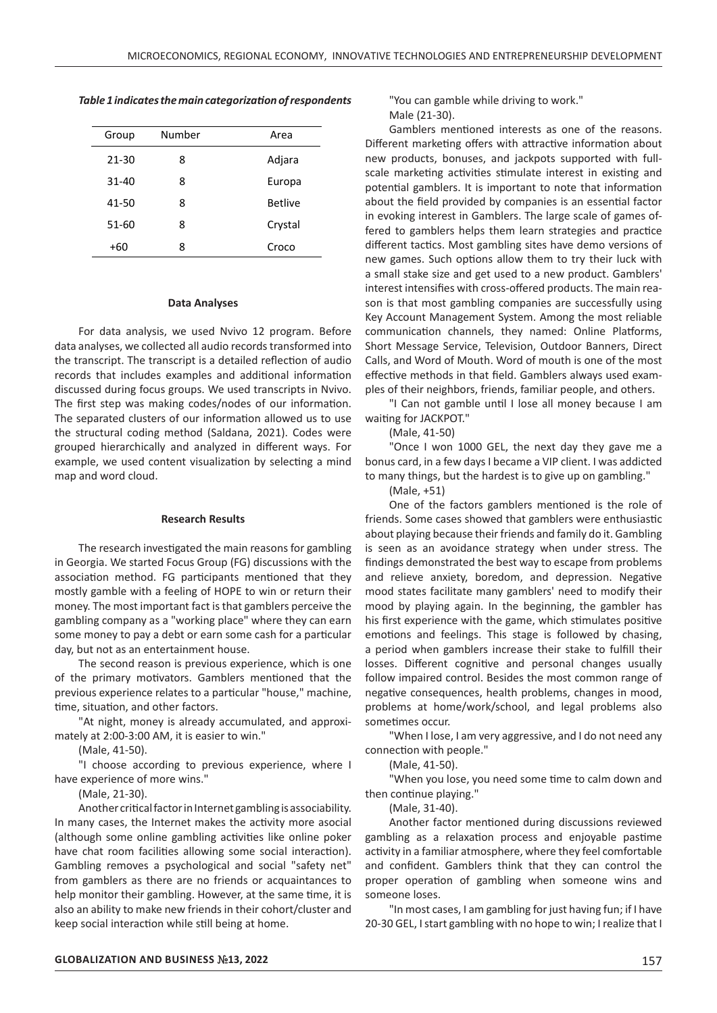*Table 1 indicates the main categorization of respondents*

| Group     | Number | Area           |
|-----------|--------|----------------|
| 21-30     | 8      | Adjara         |
| $31 - 40$ | 8      | Europa         |
| 41-50     | 8      | <b>Betlive</b> |
| 51-60     | 8      | Crystal        |
| +60       | 8      | Croco          |

#### **Data Analyses**

For data analysis, we used Nvivo 12 program. Before data analyses, we collected all audio records transformed into the transcript. The transcript is a detailed reflection of audio records that includes examples and additional information discussed during focus groups. We used transcripts in Nvivo. The first step was making codes/nodes of our information. The separated clusters of our information allowed us to use the structural coding method (Saldana, 2021). Codes were grouped hierarchically and analyzed in different ways. For example, we used content visualization by selecting a mind map and word cloud.

## **Research Results**

The research investigated the main reasons for gambling in Georgia. We started Focus Group (FG) discussions with the association method. FG participants mentioned that they mostly gamble with a feeling of HOPE to win or return their money. The most important fact is that gamblers perceive the gambling company as a "working place" where they can earn some money to pay a debt or earn some cash for a particular day, but not as an entertainment house.

The second reason is previous experience, which is one of the primary motivators. Gamblers mentioned that the previous experience relates to a particular "house," machine, time, situation, and other factors.

"At night, money is already accumulated, and approximately at 2:00-3:00 AM, it is easier to win."

(Male, 41-50).

"I choose according to previous experience, where I have experience of more wins."

(Male, 21-30).

Another critical factor in Internet gambling is associability. In many cases, the Internet makes the activity more asocial (although some online gambling activities like online poker have chat room facilities allowing some social interaction). Gambling removes a psychological and social "safety net" from gamblers as there are no friends or acquaintances to help monitor their gambling. However, at the same time, it is also an ability to make new friends in their cohort/cluster and keep social interaction while still being at home.

"You can gamble while driving to work." Male (21-30).

Gamblers mentioned interests as one of the reasons. Different marketing offers with attractive information about new products, bonuses, and jackpots supported with fullscale marketing activities stimulate interest in existing and potential gamblers. It is important to note that information about the field provided by companies is an essential factor in evoking interest in Gamblers. The large scale of games offered to gamblers helps them learn strategies and practice different tactics. Most gambling sites have demo versions of new games. Such options allow them to try their luck with a small stake size and get used to a new product. Gamblers' interest intensifies with cross-offered products. The main reason is that most gambling companies are successfully using Key Account Management System. Among the most reliable communication channels, they named: Online Platforms, Short Message Service, Television, Outdoor Banners, Direct Calls, and Word of Mouth. Word of mouth is one of the most effective methods in that field. Gamblers always used examples of their neighbors, friends, familiar people, and others.

"I Can not gamble until I lose all money because I am waiting for JACKPOT."

(Male, 41-50)

"Once I won 1000 GEL, the next day they gave me a bonus card, in a few days I became a VIP client. I was addicted to many things, but the hardest is to give up on gambling."

(Male, +51)

One of the factors gamblers mentioned is the role of friends. Some cases showed that gamblers were enthusiastic about playing because their friends and family do it. Gambling is seen as an avoidance strategy when under stress. The findings demonstrated the best way to escape from problems and relieve anxiety, boredom, and depression. Negative mood states facilitate many gamblers' need to modify their mood by playing again. In the beginning, the gambler has his first experience with the game, which stimulates positive emotions and feelings. This stage is followed by chasing, a period when gamblers increase their stake to fulfill their losses. Different cognitive and personal changes usually follow impaired control. Besides the most common range of negative consequences, health problems, changes in mood, problems at home/work/school, and legal problems also sometimes occur.

"When I lose, I am very aggressive, and I do not need any connection with people."

(Male, 41-50).

"When you lose, you need some time to calm down and then continue playing."

(Male, 31-40).

Another factor mentioned during discussions reviewed gambling as a relaxation process and enjoyable pastime activity in a familiar atmosphere, where they feel comfortable and confident. Gamblers think that they can control the proper operation of gambling when someone wins and someone loses.

"In most cases, I am gambling for just having fun; if I have 20-30 GEL, I start gambling with no hope to win; I realize that I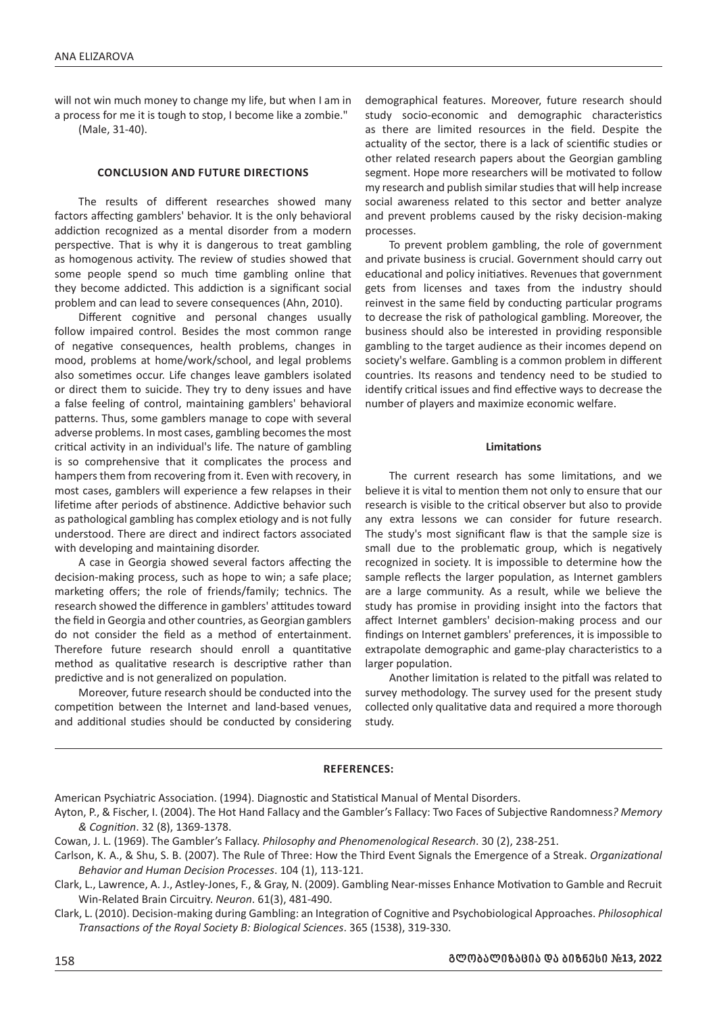will not win much money to change my life, but when I am in a process for me it is tough to stop, I become like a zombie."

(Male, 31-40).

# **CONCLUSION AND FUTURE DIRECTIONS**

The results of different researches showed many factors affecting gamblers' behavior. It is the only behavioral addiction recognized as a mental disorder from a modern perspective. That is why it is dangerous to treat gambling as homogenous activity. The review of studies showed that some people spend so much time gambling online that they become addicted. This addiction is a significant social problem and can lead to severe consequences (Ahn, 2010).

Different cognitive and personal changes usually follow impaired control. Besides the most common range of negative consequences, health problems, changes in mood, problems at home/work/school, and legal problems also sometimes occur. Life changes leave gamblers isolated or direct them to suicide. They try to deny issues and have a false feeling of control, maintaining gamblers' behavioral patterns. Thus, some gamblers manage to cope with several adverse problems. In most cases, gambling becomes the most critical activity in an individual's life. The nature of gambling is so comprehensive that it complicates the process and hampers them from recovering from it. Even with recovery, in most cases, gamblers will experience a few relapses in their lifetime after periods of abstinence. Addictive behavior such as pathological gambling has complex etiology and is not fully understood. There are direct and indirect factors associated with developing and maintaining disorder.

A case in Georgia showed several factors affecting the decision-making process, such as hope to win; a safe place; marketing offers; the role of friends/family; technics. The research showed the difference in gamblers' attitudes toward the field in Georgia and other countries, as Georgian gamblers do not consider the field as a method of entertainment. Therefore future research should enroll a quantitative method as qualitative research is descriptive rather than predictive and is not generalized on population.

Moreover, future research should be conducted into the competition between the Internet and land-based venues, and additional studies should be conducted by considering demographical features. Moreover, future research should study socio-economic and demographic characteristics as there are limited resources in the field. Despite the actuality of the sector, there is a lack of scientific studies or other related research papers about the Georgian gambling segment. Hope more researchers will be motivated to follow my research and publish similar studies that will help increase social awareness related to this sector and better analyze and prevent problems caused by the risky decision-making processes.

To prevent problem gambling, the role of government and private business is crucial. Government should carry out educational and policy initiatives. Revenues that government gets from licenses and taxes from the industry should reinvest in the same field by conducting particular programs to decrease the risk of pathological gambling. Moreover, the business should also be interested in providing responsible gambling to the target audience as their incomes depend on society's welfare. Gambling is a common problem in different countries. Its reasons and tendency need to be studied to identify critical issues and find effective ways to decrease the number of players and maximize economic welfare.

### **Limitations**

The current research has some limitations, and we believe it is vital to mention them not only to ensure that our research is visible to the critical observer but also to provide any extra lessons we can consider for future research. The study's most significant flaw is that the sample size is small due to the problematic group, which is negatively recognized in society. It is impossible to determine how the sample reflects the larger population, as Internet gamblers are a large community. As a result, while we believe the study has promise in providing insight into the factors that affect Internet gamblers' decision-making process and our findings on Internet gamblers' preferences, it is impossible to extrapolate demographic and game-play characteristics to a larger population.

Another limitation is related to the pitfall was related to survey methodology. The survey used for the present study collected only qualitative data and required a more thorough study.

## **REFERENCES:**

American Psychiatric Association. (1994). Diagnostic and Statistical Manual of Mental Disorders.

Clark, L. (2010). Decision-making during Gambling: an Integration of Cognitive and Psychobiological Approaches. *Philosophical Transactions of the Royal Society B: Biological Sciences*. 365 (1538), 319-330.

Ayton, P., & Fischer, I. (2004). The Hot Hand Fallacy and the Gambler's Fallacy: Two Faces of Subjective Randomness*? Memory & Cognition*. 32 (8), 1369-1378.

Cowan, J. L. (1969). The Gambler's Fallacy. *Philosophy and Phenomenological Research*. 30 (2), 238-251.

Carlson, K. A., & Shu, S. B. (2007). The Rule of Three: How the Third Event Signals the Emergence of a Streak. *Organizational Behavior and Human Decision Processes*. 104 (1), 113-121.

Clark, L., Lawrence, A. J., Astley-Jones, F., & Gray, N. (2009). Gambling Near-misses Enhance Motivation to Gamble and Recruit Win-Related Brain Circuitry. *Neuron*. 61(3), 481-490.